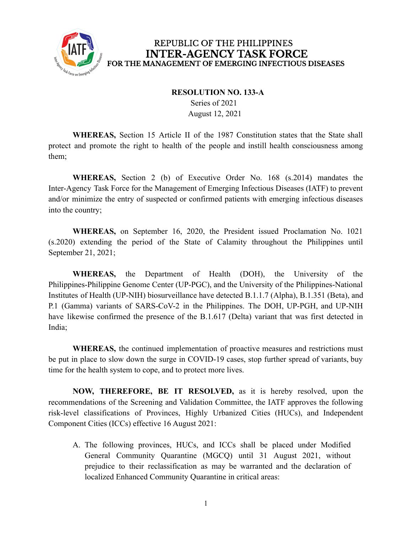

#### **RESOLUTION NO. 133-A**

Series of 2021 August 12, 2021

**WHEREAS,** Section 15 Article II of the 1987 Constitution states that the State shall protect and promote the right to health of the people and instill health consciousness among them;

**WHEREAS,** Section 2 (b) of Executive Order No. 168 (s.2014) mandates the Inter-Agency Task Force for the Management of Emerging Infectious Diseases (IATF) to prevent and/or minimize the entry of suspected or confirmed patients with emerging infectious diseases into the country;

**WHEREAS,** on September 16, 2020, the President issued Proclamation No. 1021 (s.2020) extending the period of the State of Calamity throughout the Philippines until September 21, 2021;

**WHEREAS,** the Department of Health (DOH), the University of the Philippines-Philippine Genome Center (UP-PGC), and the University of the Philippines-National Institutes of Health (UP-NIH) biosurveillance have detected B.1.1.7 (Alpha), B.1.351 (Beta), and P.1 (Gamma) variants of SARS-CoV-2 in the Philippines. The DOH, UP-PGH, and UP-NIH have likewise confirmed the presence of the B.1.617 (Delta) variant that was first detected in India;

**WHEREAS,** the continued implementation of proactive measures and restrictions must be put in place to slow down the surge in COVID-19 cases, stop further spread of variants, buy time for the health system to cope, and to protect more lives.

**NOW, THEREFORE, BE IT RESOLVED,** as it is hereby resolved, upon the recommendations of the Screening and Validation Committee, the IATF approves the following risk-level classifications of Provinces, Highly Urbanized Cities (HUCs), and Independent Component Cities (ICCs) effective 16 August 2021:

A. The following provinces, HUCs, and ICCs shall be placed under Modified General Community Quarantine (MGCQ) until 31 August 2021, without prejudice to their reclassification as may be warranted and the declaration of localized Enhanced Community Quarantine in critical areas: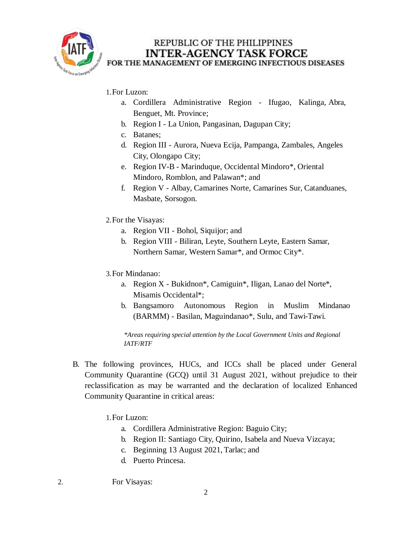

#### 1.For Luzon:

- a. Cordillera Administrative Region Ifugao, Kalinga, Abra, Benguet, Mt. Province;
- b. Region I La Union, Pangasinan, Dagupan City;
- c. Batanes;
- d. Region III Aurora, Nueva Ecija, Pampanga, Zambales, Angeles City, Olongapo City;
- e. Region IV-B Marinduque, Occidental Mindoro\*, Oriental Mindoro, Romblon, and Palawan\*; and
- f. Region V Albay, Camarines Norte, Camarines Sur, Catanduanes, Masbate, Sorsogon.
- 2.For the Visayas:
	- a. Region VII Bohol, Siquijor; and
	- b. Region VIII Biliran, Leyte, Southern Leyte, Eastern Samar, Northern Samar, Western Samar\*, and Ormoc City\*.
- 3.For Mindanao:
	- a. Region X Bukidnon\*, Camiguin\*, Iligan, Lanao del Norte\*, Misamis Occidental\*;
	- b. Bangsamoro Autonomous Region in Muslim Mindanao (BARMM) - Basilan, Maguindanao\*, Sulu, and Tawi-Tawi.

*\*Areas requiring special attention by the Local Government Units and Regional IATF/RTF*

- B. The following provinces, HUCs, and ICCs shall be placed under General Community Quarantine (GCQ) until 31 August 2021, without prejudice to their reclassification as may be warranted and the declaration of localized Enhanced Community Quarantine in critical areas:
	- 1.For Luzon:
		- a. Cordillera Administrative Region: Baguio City;
		- b. Region II: Santiago City, Quirino, Isabela and Nueva Vizcaya;
		- c. Beginning 13 August 2021, Tarlac; and
		- d. Puerto Princesa.
- 2. For Visayas: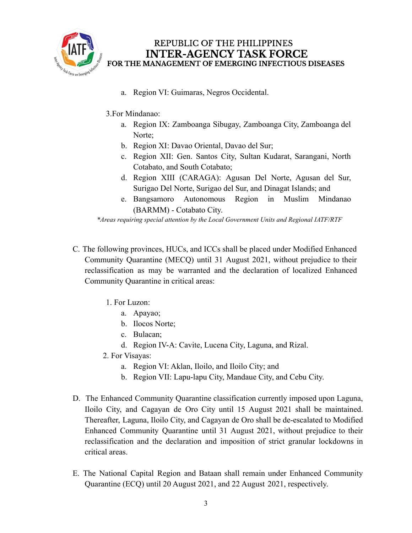

- a. Region VI: Guimaras, Negros Occidental.
- 3.For Mindanao:
	- a. Region IX: Zamboanga Sibugay, Zamboanga City, Zamboanga del Norte:
	- b. Region XI: Davao Oriental, Davao del Sur;
	- c. Region XII: Gen. Santos City, Sultan Kudarat, Sarangani, North Cotabato, and South Cotabato;
	- d. Region XIII (CARAGA): Agusan Del Norte, Agusan del Sur, Surigao Del Norte, Surigao del Sur, and Dinagat Islands; and
	- e. Bangsamoro Autonomous Region in Muslim Mindanao (BARMM) - Cotabato City.

*\*Areas requiring special attention by the Local Government Units and Regional IATF/RTF*

- C. The following provinces, HUCs, and ICCs shall be placed under Modified Enhanced Community Quarantine (MECQ) until 31 August 2021, without prejudice to their reclassification as may be warranted and the declaration of localized Enhanced Community Quarantine in critical areas:
	- 1. For Luzon:
		- a. Apayao;
		- b. Ilocos Norte;
		- c. Bulacan;
		- d. Region IV-A: Cavite, Lucena City, Laguna, and Rizal.
	- 2. For Visayas:
		- a. Region VI: Aklan, Iloilo, and Iloilo City; and
		- b. Region VII: Lapu-lapu City, Mandaue City, and Cebu City.
- D. The Enhanced Community Quarantine classification currently imposed upon Laguna, Iloilo City, and Cagayan de Oro City until 15 August 2021 shall be maintained. Thereafter, Laguna, Iloilo City, and Cagayan de Oro shall be de-escalated to Modified Enhanced Community Quarantine until 31 August 2021, without prejudice to their reclassification and the declaration and imposition of strict granular lockdowns in critical areas.
- E. The National Capital Region and Bataan shall remain under Enhanced Community Quarantine (ECQ) until 20 August 2021, and 22 August 2021, respectively.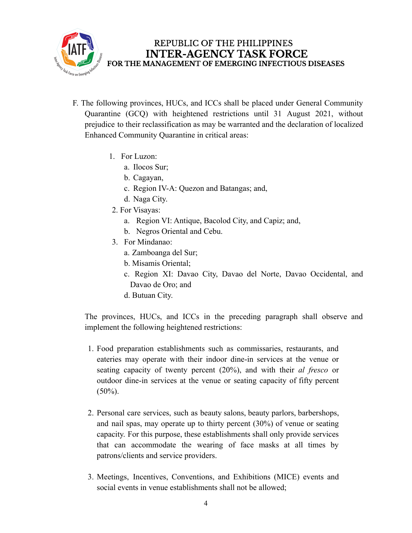

- F. The following provinces, HUCs, and ICCs shall be placed under General Community Quarantine (GCQ) with heightened restrictions until 31 August 2021, without prejudice to their reclassification as may be warranted and the declaration of localized Enhanced Community Quarantine in critical areas:
	- 1. For Luzon:
		- a. Ilocos Sur;
		- b. Cagayan,
		- c. Region IV-A: Quezon and Batangas; and,
		- d. Naga City.
	- 2. For Visayas:
		- a. Region VI: Antique, Bacolod City, and Capiz; and,
		- b. Negros Oriental and Cebu.
	- 3. For Mindanao:
		- a. Zamboanga del Sur;
		- b. Misamis Oriental;
		- c. Region XI: Davao City, Davao del Norte, Davao Occidental, and Davao de Oro; and
		- d. Butuan City.

The provinces, HUCs, and ICCs in the preceding paragraph shall observe and implement the following heightened restrictions:

- 1. Food preparation establishments such as commissaries, restaurants, and eateries may operate with their indoor dine-in services at the venue or seating capacity of twenty percent (20%), and with their *al fresco* or outdoor dine-in services at the venue or seating capacity of fifty percent  $(50\%)$ .
- 2. Personal care services, such as beauty salons, beauty parlors, barbershops, and nail spas, may operate up to thirty percent (30%) of venue or seating capacity. For this purpose, these establishments shall only provide services that can accommodate the wearing of face masks at all times by patrons/clients and service providers.
- 3. Meetings, Incentives, Conventions, and Exhibitions (MICE) events and social events in venue establishments shall not be allowed;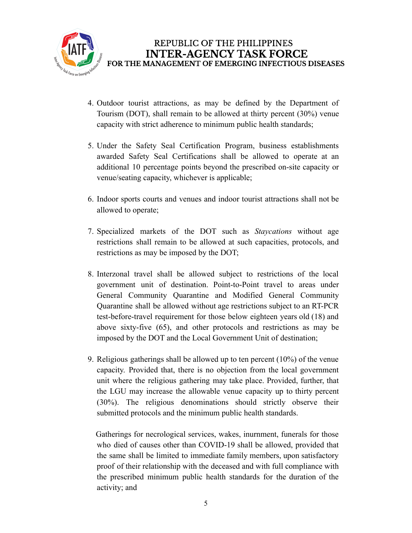

- 4. Outdoor tourist attractions, as may be defined by the Department of Tourism (DOT), shall remain to be allowed at thirty percent (30%) venue capacity with strict adherence to minimum public health standards;
- 5. Under the Safety Seal Certification Program, business establishments awarded Safety Seal Certifications shall be allowed to operate at an additional 10 percentage points beyond the prescribed on-site capacity or venue/seating capacity, whichever is applicable;
- 6. Indoor sports courts and venues and indoor tourist attractions shall not be allowed to operate;
- 7. Specialized markets of the DOT such as *Staycations* without age restrictions shall remain to be allowed at such capacities, protocols, and restrictions as may be imposed by the DOT;
- 8. Interzonal travel shall be allowed subject to restrictions of the local government unit of destination. Point-to-Point travel to areas under General Community Quarantine and Modified General Community Quarantine shall be allowed without age restrictions subject to an RT-PCR test-before-travel requirement for those below eighteen years old (18) and above sixty-five (65), and other protocols and restrictions as may be imposed by the DOT and the Local Government Unit of destination;
- 9. Religious gatherings shall be allowed up to ten percent (10%) of the venue capacity. Provided that, there is no objection from the local government unit where the religious gathering may take place. Provided, further, that the LGU may increase the allowable venue capacity up to thirty percent (30%). The religious denominations should strictly observe their submitted protocols and the minimum public health standards.

Gatherings for necrological services, wakes, inurnment, funerals for those who died of causes other than COVID-19 shall be allowed, provided that the same shall be limited to immediate family members, upon satisfactory proof of their relationship with the deceased and with full compliance with the prescribed minimum public health standards for the duration of the activity; and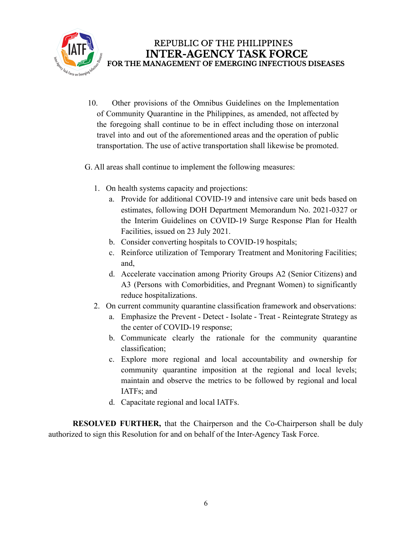

- 10. Other provisions of the Omnibus Guidelines on the Implementation of Community Quarantine in the Philippines, as amended, not affected by the foregoing shall continue to be in effect including those on interzonal travel into and out of the aforementioned areas and the operation of public transportation. The use of active transportation shall likewise be promoted.
- G. All areas shall continue to implement the following measures:
	- 1. On health systems capacity and projections:
		- a. Provide for additional COVID-19 and intensive care unit beds based on estimates, following DOH Department Memorandum No. 2021-0327 or the Interim Guidelines on COVID-19 Surge Response Plan for Health Facilities, issued on 23 July 2021.
		- b. Consider converting hospitals to COVID-19 hospitals;
		- c. Reinforce utilization of Temporary Treatment and Monitoring Facilities; and,
		- d. Accelerate vaccination among Priority Groups A2 (Senior Citizens) and A3 (Persons with Comorbidities, and Pregnant Women) to significantly reduce hospitalizations.
	- 2. On current community quarantine classification framework and observations:
		- a. Emphasize the Prevent Detect Isolate Treat Reintegrate Strategy as the center of COVID-19 response;
		- b. Communicate clearly the rationale for the community quarantine classification;
		- c. Explore more regional and local accountability and ownership for community quarantine imposition at the regional and local levels; maintain and observe the metrics to be followed by regional and local IATFs; and
		- d. Capacitate regional and local IATFs.

**RESOLVED FURTHER,** that the Chairperson and the Co-Chairperson shall be duly authorized to sign this Resolution for and on behalf of the Inter-Agency Task Force.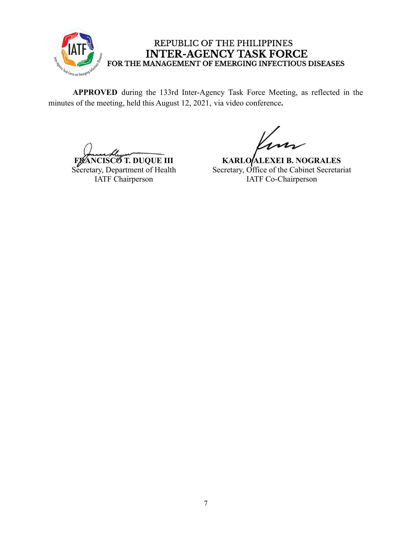

**APPROVED** during the 133rd Inter-Agency Task Force Meeting, as reflected in the minutes of the meeting, held this August 12, 2021, via video conference**.**

**FRANCISCO T. DUQUE III** Secretary, Department of Health IATF Chairperson

**KARLO ALEXEI B. NOGRALES** Secretary, Office of the Cabinet Secretariat IATF Co-Chairperson